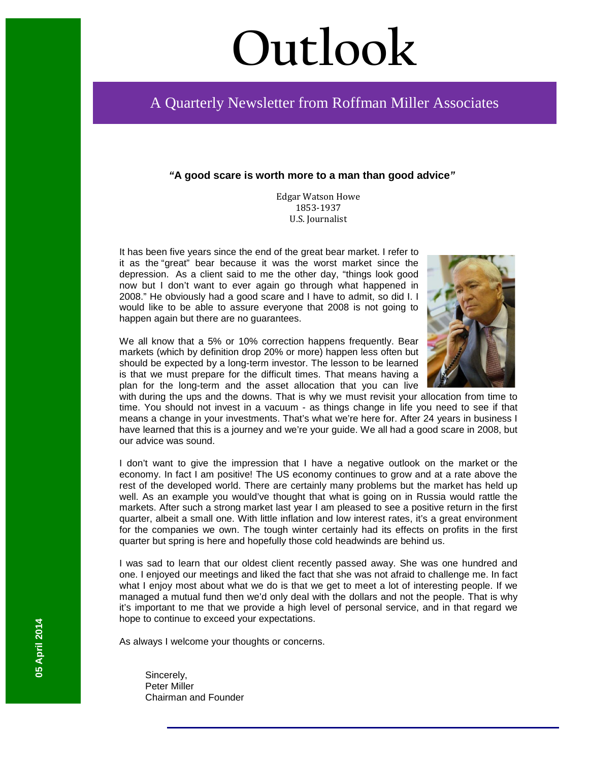# **Outlook**

# A Quarterly Newsletter from Roffman Miller Associates

### *"***A good scare is worth more to a man than good advice***"*

Edgar Watson Howe 1853-1937 U.S. Journalist

It has been five years since the end of the great bear market. I refer to it as the "great" bear because it was the worst market since the depression. As a client said to me the other day, "things look good now but I don't want to ever again go through what happened in 2008." He obviously had a good scare and I have to admit, so did I. I would like to be able to assure everyone that 2008 is not going to happen again but there are no guarantees.

We all know that a 5% or 10% correction happens frequently. Bear markets (which by definition drop 20% or more) happen less often but should be expected by a long-term investor. The lesson to be learned is that we must prepare for the difficult times. That means having a plan for the long-term and the asset allocation that you can live



with during the ups and the downs. That is why we must revisit your allocation from time to time. You should not invest in a vacuum - as things change in life you need to see if that means a change in your investments. That's what we're here for. After 24 years in business I have learned that this is a journey and we're your guide. We all had a good scare in 2008, but our advice was sound.

I don't want to give the impression that I have a negative outlook on the market or the economy. In fact I am positive! The US economy continues to grow and at a rate above the rest of the developed world. There are certainly many problems but the market has held up well. As an example you would've thought that what is going on in Russia would rattle the markets. After such a strong market last year I am pleased to see a positive return in the first quarter, albeit a small one. With little inflation and low interest rates, it's a great environment for the companies we own. The tough winter certainly had its effects on profits in the first quarter but spring is here and hopefully those cold headwinds are behind us.

I was sad to learn that our oldest client recently passed away. She was one hundred and one. I enjoyed our meetings and liked the fact that she was not afraid to challenge me. In fact what I enjoy most about what we do is that we get to meet a lot of interesting people. If we managed a mutual fund then we'd only deal with the dollars and not the people. That is why it's important to me that we provide a high level of personal service, and in that regard we hope to continue to exceed your expectations.

As always I welcome your thoughts or concerns.

Sincerely, Peter Miller Chairman and Founder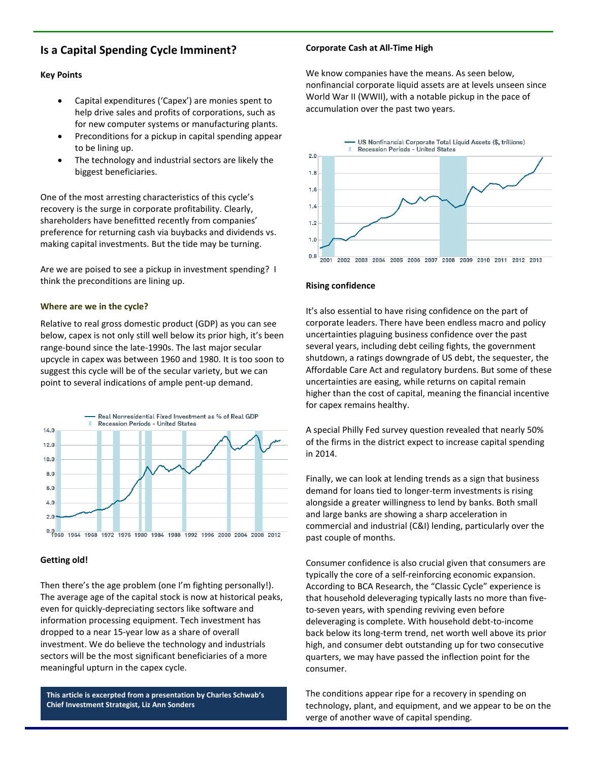# **Is a Capital Spending Cycle Imminent?**

#### **Key Points**

- Capital expenditures ('Capex') are monies spent to help drive sales and profits of corporations, such as for new computer systems or manufacturing plants.
- Preconditions for a pickup in capital spending appear to be lining up.
- The technology and industrial sectors are likely the biggest beneficiaries.

One of the most arresting characteristics of this cycle's recovery is the surge in corporate profitability. Clearly, shareholders have benefitted recently from companies' preference for returning cash via buybacks and dividends vs. making capital investments. But the tide may be turning.

Are we are poised to see a pickup in investment spending? I think the preconditions are lining up.

#### **Where are we in the cycle?**

Relative to real gross domestic product (GDP) as you can see below, capex is not only still well below its prior high, it's been range-bound since the late-1990s. The last major secular upcycle in capex was between 1960 and 1980. It is too soon to suggest this cycle will be of the secular variety, but we can point to several indications of ample pent-up demand.



#### **Getting old!**

Then there's the age problem (one I'm fighting personally!). The average age of the capital stock is now at historical peaks, even for quickly-depreciating sectors like software and information processing equipment. Tech investment has dropped to a near 15-year low as a share of overall investment. We do believe the technology and industrials sectors will be the most significant beneficiaries of a more meaningful upturn in the capex cycle.

**This article is excerpted from a presentation by Charles Schwab's Chief Investment Strategist, Liz Ann Sonders**

#### **Corporate Cash at All-Time High**

We know companies have the means. As seen below, nonfinancial corporate liquid assets are at levels unseen since World War II (WWII), with a notable pickup in the pace of accumulation over the past two years.



#### **Rising confidence**

It's also essential to have rising confidence on the part of corporate leaders. There have been endless macro and policy uncertainties plaguing business confidence over the past several years, including debt ceiling fights, the government shutdown, a ratings downgrade of US debt, the sequester, the Affordable Care Act and regulatory burdens. But some of these uncertainties are easing, while returns on capital remain higher than the cost of capital, meaning the financial incentive for capex remains healthy.

A special Philly Fed survey question revealed that nearly 50% of the firms in the district expect to increase capital spending in 2014.

Finally, we can look at lending trends as a sign that business demand for loans tied to longer-term investments is rising alongside a greater willingness to lend by banks. Both small and large banks are showing a sharp acceleration in commercial and industrial (C&I) lending, particularly over the past couple of months.

Consumer confidence is also crucial given that consumers are typically the core of a self-reinforcing economic expansion. According to BCA Research, the "Classic Cycle" experience is that household deleveraging typically lasts no more than fiveto-seven years, with spending reviving even before deleveraging is complete. With household debt-to-income back below its long-term trend, net worth well above its prior high, and consumer debt outstanding up for two consecutive quarters, we may have passed the inflection point for the consumer.

The conditions appear ripe for a recovery in spending on technology, plant, and equipment, and we appear to be on the verge of another wave of capital spending.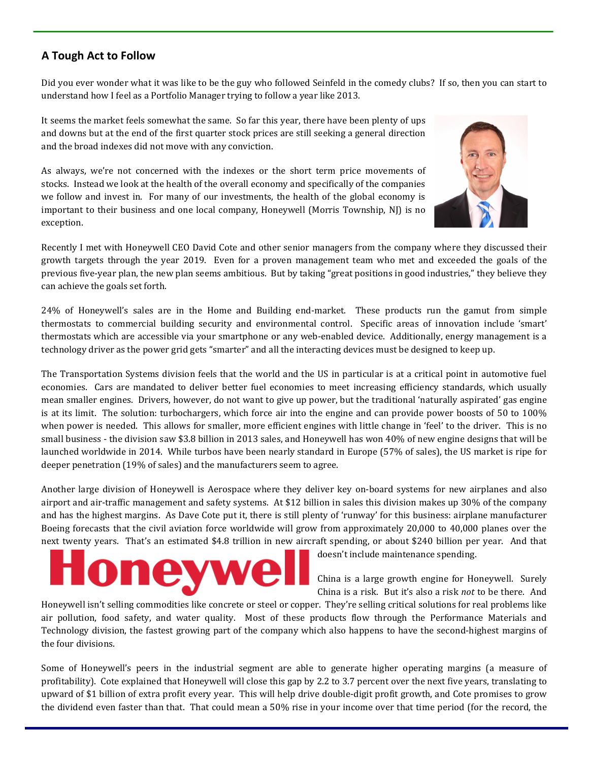# **A Tough Act to Follow**

Did you ever wonder what it was like to be the guy who followed Seinfeld in the comedy clubs? If so, then you can start to understand how I feel as a Portfolio Manager trying to follow a year like 2013.

It seems the market feels somewhat the same. So far this year, there have been plenty of ups and downs but at the end of the first quarter stock prices are still seeking a general direction and the broad indexes did not move with any conviction.

As always, we're not concerned with the indexes or the short term price movements of stocks. Instead we look at the health of the overall economy and specifically of the companies we follow and invest in. For many of our investments, the health of the global economy is important to their business and one local company, Honeywell (Morris Township, NJ) is no exception.



Recently I met with Honeywell CEO David Cote and other senior managers from the company where they discussed their growth targets through the year 2019. Even for a proven management team who met and exceeded the goals of the previous five-year plan, the new plan seems ambitious. But by taking "great positions in good industries," they believe they can achieve the goals set forth.

24% of Honeywell's sales are in the Home and Building end-market. These products run the gamut from simple thermostats to commercial building security and environmental control. Specific areas of innovation include 'smart' thermostats which are accessible via your smartphone or any web-enabled device. Additionally, energy management is a technology driver as the power grid gets "smarter" and all the interacting devices must be designed to keep up.

The Transportation Systems division feels that the world and the US in particular is at a critical point in automotive fuel economies. Cars are mandated to deliver better fuel economies to meet increasing efficiency standards, which usually mean smaller engines. Drivers, however, do not want to give up power, but the traditional 'naturally aspirated' gas engine is at its limit. The solution: turbochargers, which force air into the engine and can provide power boosts of 50 to 100% when power is needed. This allows for smaller, more efficient engines with little change in 'feel' to the driver. This is no small business - the division saw \$3.8 billion in 2013 sales, and Honeywell has won 40% of new engine designs that will be launched worldwide in 2014. While turbos have been nearly standard in Europe (57% of sales), the US market is ripe for deeper penetration (19% of sales) and the manufacturers seem to agree.

Another large division of Honeywell is Aerospace where they deliver key on-board systems for new airplanes and also airport and air-traffic management and safety systems. At \$12 billion in sales this division makes up 30% of the company and has the highest margins. As Dave Cote put it, there is still plenty of 'runway' for this business: airplane manufacturer Boeing forecasts that the civil aviation force worldwide will grow from approximately 20,000 to 40,000 planes over the next twenty years. That's an estimated \$4.8 trillion in new aircraft spending, or about \$240 billion per year. And that

doesn't include maintenance spending.

China is a large growth engine for Honeywell. Surely China is a risk. But it's also a risk *not* to be there. And

Honeywell isn't selling commodities like concrete or steel or copper. They're selling critical solutions for real problems like air pollution, food safety, and water quality. Most of these products flow through the Performance Materials and Technology division, the fastest growing part of the company which also happens to have the second-highest margins of the four divisions.

Some of Honeywell's peers in the industrial segment are able to generate higher operating margins (a measure of profitability). Cote explained that Honeywell will close this gap by 2.2 to 3.7 percent over the next five years, translating to upward of \$1 billion of extra profit every year. This will help drive double-digit profit growth, and Cote promises to grow the dividend even faster than that. That could mean a 50% rise in your income over that time period (for the record, the